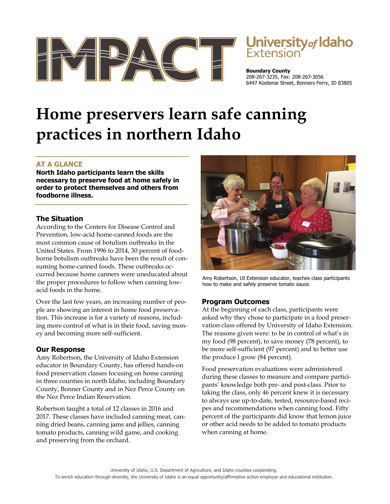

# **University of Idaho**<br>Extension

**Boundary County**  208-267-3235, Fax: 208-267-3056 6447 Kootenai Street, Bonners Ferry, ID 83805

## **Home preservers learn safe canning practices in northern Idaho**

### **AT A GLANCE**

**North Idaho participants learn the skills necessary to preserve food at home safely in order to protect themselves and others from foodborne illness.** 

#### **The Situation**

According to the Centers for Disease Control and Prevention, low-acid home-canned foods are the most common cause of botulism outbreaks in the United States. From 1996 to 2014, 30 percent of foodborne botulism outbreaks have been the result of consuming home-canned foods. These outbreaks occurred because home canners were uneducated about the proper procedures to follow when canning lowacid foods in the home.

Over the last few years, an increasing number of people are showing an interest in home food preservation. This increase is for a variety of reasons, including more control of what is in their food, saving money and becoming more self-sufficient.

#### **Our Response**

Amy Robertson, the University of Idaho Extension educator in Boundary County, has offered hands-on food preservation classes focusing on home canning in three counties in north Idaho, including Boundary County, Bonner County and in Nez Perce County on the Nez Perce Indian Reservation.

Robertson taught a total of 12 classes in 2016 and 2017. These classes have included canning meat, canning dried beans, canning jams and jellies, canning tomato products, canning wild game, and cooking and preserving from the orchard.



Amy Robertson, UI Extension educator, teaches class participants how to make and safely preserve tomato sauce.

#### **Program Outcomes**

At the beginning of each class, participants were asked why they chose to participate in a food preservation class offered by University of Idaho Extension. The reasons given were: to be in control of what's in my food (98 percent), to save money (78 percent), to be more self-sufficient (97 percent) and to better use the produce I grow (84 percent).

Food preservation evaluations were administered during these classes to measure and compare participants' knowledge both pre- and post-class. Prior to taking the class, only 46 percent knew it is necessary to always use up-to-date, tested, resource-based recipes and recommendations when canning food. Fifty percent of the participants did know that lemon juice or other acid needs to be added to tomato products when canning at home.